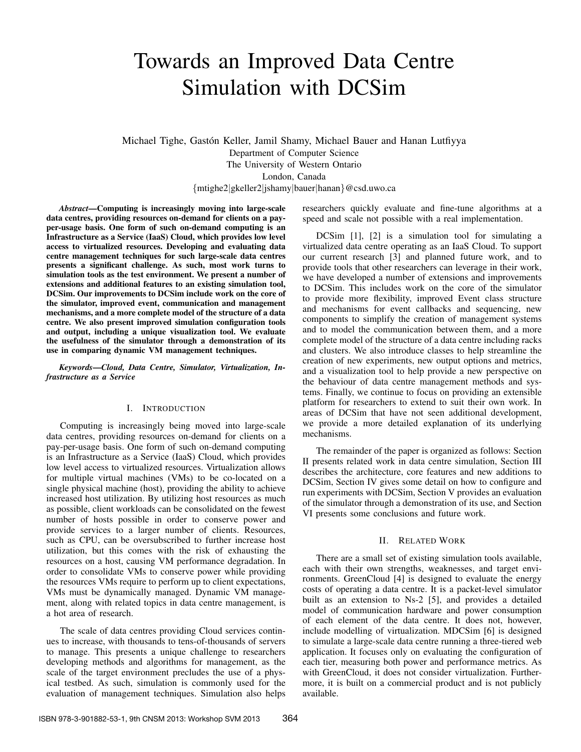# Towards an Improved Data Centre Simulation with DCSim

Michael Tighe, Gaston Keller, Jamil Shamy, Michael Bauer and Hanan Lutfiyya ´ Department of Computer Science The University of Western Ontario London, Canada {mtighe2|gkeller2|jshamy|bauer|hanan}@csd.uwo.ca

*Abstract*—Computing is increasingly moving into large-scale data centres, providing resources on-demand for clients on a payper-usage basis. One form of such on-demand computing is an Infrastructure as a Service (IaaS) Cloud, which provides low level access to virtualized resources. Developing and evaluating data centre management techniques for such large-scale data centres presents a significant challenge. As such, most work turns to simulation tools as the test environment. We present a number of extensions and additional features to an existing simulation tool, DCSim. Our improvements to DCSim include work on the core of the simulator, improved event, communication and management mechanisms, and a more complete model of the structure of a data centre. We also present improved simulation configuration tools and output, including a unique visualization tool. We evaluate the usefulness of the simulator through a demonstration of its use in comparing dynamic VM management techniques.

*Keywords*—*Cloud, Data Centre, Simulator, Virtualization, Infrastructure as a Service*

## I. INTRODUCTION

Computing is increasingly being moved into large-scale data centres, providing resources on-demand for clients on a pay-per-usage basis. One form of such on-demand computing is an Infrastructure as a Service (IaaS) Cloud, which provides low level access to virtualized resources. Virtualization allows for multiple virtual machines (VMs) to be co-located on a single physical machine (host), providing the ability to achieve increased host utilization. By utilizing host resources as much as possible, client workloads can be consolidated on the fewest number of hosts possible in order to conserve power and provide services to a larger number of clients. Resources, such as CPU, can be oversubscribed to further increase host utilization, but this comes with the risk of exhausting the resources on a host, causing VM performance degradation. In order to consolidate VMs to conserve power while providing the resources VMs require to perform up to client expectations, VMs must be dynamically managed. Dynamic VM management, along with related topics in data centre management, is a hot area of research.

The scale of data centres providing Cloud services continues to increase, with thousands to tens-of-thousands of servers to manage. This presents a unique challenge to researchers developing methods and algorithms for management, as the scale of the target environment precludes the use of a physical testbed. As such, simulation is commonly used for the evaluation of management techniques. Simulation also helps researchers quickly evaluate and fine-tune algorithms at a speed and scale not possible with a real implementation.

DCSim [1], [2] is a simulation tool for simulating a virtualized data centre operating as an IaaS Cloud. To support our current research [3] and planned future work, and to provide tools that other researchers can leverage in their work, we have developed a number of extensions and improvements to DCSim. This includes work on the core of the simulator to provide more flexibility, improved Event class structure and mechanisms for event callbacks and sequencing, new components to simplify the creation of management systems and to model the communication between them, and a more complete model of the structure of a data centre including racks and clusters. We also introduce classes to help streamline the creation of new experiments, new output options and metrics, and a visualization tool to help provide a new perspective on the behaviour of data centre management methods and systems. Finally, we continue to focus on providing an extensible platform for researchers to extend to suit their own work. In areas of DCSim that have not seen additional development, we provide a more detailed explanation of its underlying mechanisms.

The remainder of the paper is organized as follows: Section II presents related work in data centre simulation, Section III describes the architecture, core features and new additions to DCSim, Section IV gives some detail on how to configure and run experiments with DCSim, Section V provides an evaluation of the simulator through a demonstration of its use, and Section VI presents some conclusions and future work.

#### II. RELATED WORK

There are a small set of existing simulation tools available, each with their own strengths, weaknesses, and target environments. GreenCloud [4] is designed to evaluate the energy costs of operating a data centre. It is a packet-level simulator built as an extension to Ns-2 [5], and provides a detailed model of communication hardware and power consumption of each element of the data centre. It does not, however, include modelling of virtualization. MDCSim [6] is designed to simulate a large-scale data centre running a three-tiered web application. It focuses only on evaluating the configuration of each tier, measuring both power and performance metrics. As with GreenCloud, it does not consider virtualization. Furthermore, it is built on a commercial product and is not publicly available.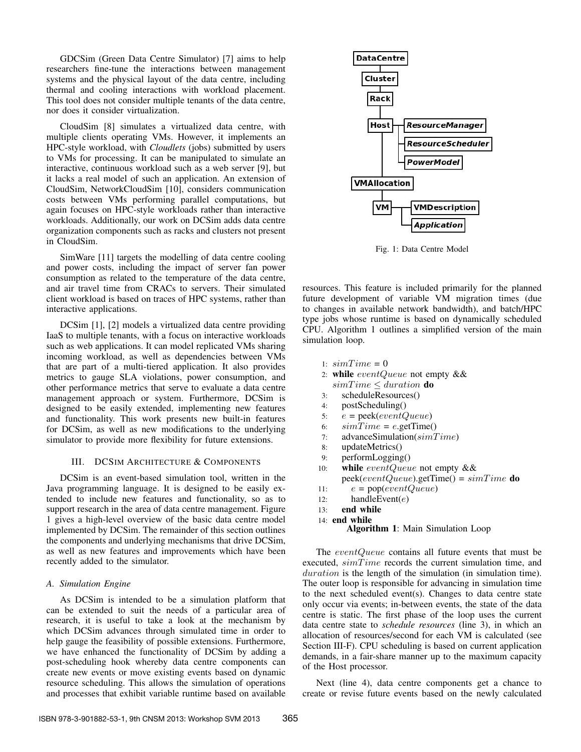GDCSim (Green Data Centre Simulator) [7] aims to help researchers fine-tune the interactions between management systems and the physical layout of the data centre, including thermal and cooling interactions with workload placement. This tool does not consider multiple tenants of the data centre, nor does it consider virtualization.

CloudSim [8] simulates a virtualized data centre, with multiple clients operating VMs. However, it implements an HPC-style workload, with *Cloudlets* (jobs) submitted by users to VMs for processing. It can be manipulated to simulate an interactive, continuous workload such as a web server [9], but it lacks a real model of such an application. An extension of CloudSim, NetworkCloudSim [10], considers communication costs between VMs performing parallel computations, but again focuses on HPC-style workloads rather than interactive workloads. Additionally, our work on DCSim adds data centre organization components such as racks and clusters not present in CloudSim.

SimWare [11] targets the modelling of data centre cooling and power costs, including the impact of server fan power consumption as related to the temperature of the data centre, and air travel time from CRACs to servers. Their simulated client workload is based on traces of HPC systems, rather than interactive applications.

DCSim [1], [2] models a virtualized data centre providing IaaS to multiple tenants, with a focus on interactive workloads such as web applications. It can model replicated VMs sharing incoming workload, as well as dependencies between VMs that are part of a multi-tiered application. It also provides metrics to gauge SLA violations, power consumption, and other performance metrics that serve to evaluate a data centre management approach or system. Furthermore, DCSim is designed to be easily extended, implementing new features and functionality. This work presents new built-in features for DCSim, as well as new modifications to the underlying simulator to provide more flexibility for future extensions.

#### III. DCSIM ARCHITECTURE & COMPONENTS

DCSim is an event-based simulation tool, written in the Java programming language. It is designed to be easily extended to include new features and functionality, so as to support research in the area of data centre management. Figure 1 gives a high-level overview of the basic data centre model implemented by DCSim. The remainder of this section outlines the components and underlying mechanisms that drive DCSim, as well as new features and improvements which have been recently added to the simulator.

#### *A. Simulation Engine*

As DCSim is intended to be a simulation platform that can be extended to suit the needs of a particular area of research, it is useful to take a look at the mechanism by which DCSim advances through simulated time in order to help gauge the feasibility of possible extensions. Furthermore, we have enhanced the functionality of DCSim by adding a post-scheduling hook whereby data centre components can create new events or move existing events based on dynamic resource scheduling. This allows the simulation of operations and processes that exhibit variable runtime based on available



Fig. 1: Data Centre Model

resources. This feature is included primarily for the planned future development of variable VM migration times (due to changes in available network bandwidth), and batch/HPC type jobs whose runtime is based on dynamically scheduled CPU. Algorithm 1 outlines a simplified version of the main simulation loop.

- 1:  $simTime = 0$
- 2: while *eventQueue* not empty && *simT ime* ≤ *duration* do
- 3: scheduleResources()
- 4: postScheduling()
- 5: *e* = peek(*eventQueue*)
- 6:  $\sin\text{Time} = e.\text{getTime}()$
- 7: advanceSimulation(*simT ime*)
- 8: updateMetrics()
- 9: performLogging()
- 10: while *eventQueue* not empty &&
- peek(*eventQueue*).getTime() = *simT ime* do 11: *e* = pop(*eventQueue*)
- 12: handleEvent(*e*)
- 13: end while
- 14: end while

# Algorithm 1: Main Simulation Loop

The *eventQueue* contains all future events that must be executed, *simT ime* records the current simulation time, and *duration* is the length of the simulation (in simulation time). The outer loop is responsible for advancing in simulation time to the next scheduled event(s). Changes to data centre state only occur via events; in-between events, the state of the data centre is static. The first phase of the loop uses the current data centre state to *schedule resources* (line 3), in which an allocation of resources/second for each VM is calculated (see Section III-F). CPU scheduling is based on current application demands, in a fair-share manner up to the maximum capacity of the Host processor.

Next (line 4), data centre components get a chance to create or revise future events based on the newly calculated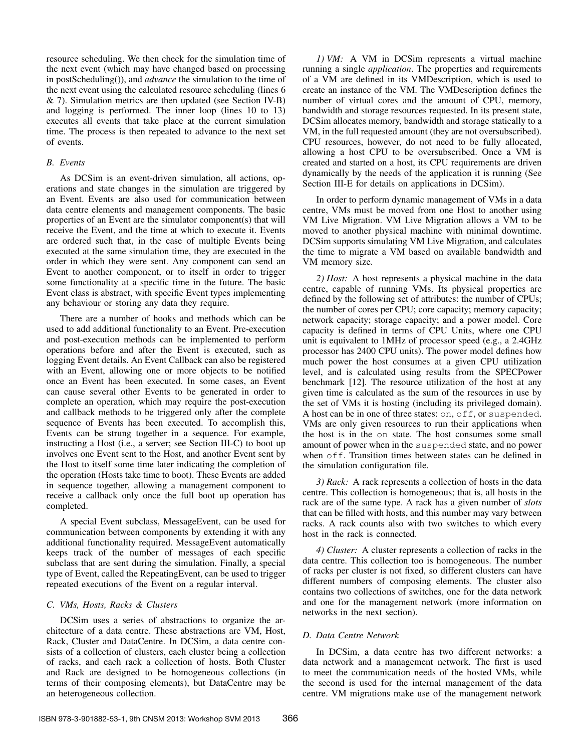resource scheduling. We then check for the simulation time of the next event (which may have changed based on processing in postScheduling()), and *advance* the simulation to the time of the next event using the calculated resource scheduling (lines 6 & 7). Simulation metrics are then updated (see Section IV-B) and logging is performed. The inner loop (lines 10 to 13) executes all events that take place at the current simulation time. The process is then repeated to advance to the next set of events.

#### *B. Events*

As DCSim is an event-driven simulation, all actions, operations and state changes in the simulation are triggered by an Event. Events are also used for communication between data centre elements and management components. The basic properties of an Event are the simulator component(s) that will receive the Event, and the time at which to execute it. Events are ordered such that, in the case of multiple Events being executed at the same simulation time, they are executed in the order in which they were sent. Any component can send an Event to another component, or to itself in order to trigger some functionality at a specific time in the future. The basic Event class is abstract, with specific Event types implementing any behaviour or storing any data they require.

There are a number of hooks and methods which can be used to add additional functionality to an Event. Pre-execution and post-execution methods can be implemented to perform operations before and after the Event is executed, such as logging Event details. An Event Callback can also be registered with an Event, allowing one or more objects to be notified once an Event has been executed. In some cases, an Event can cause several other Events to be generated in order to complete an operation, which may require the post-execution and callback methods to be triggered only after the complete sequence of Events has been executed. To accomplish this, Events can be strung together in a sequence. For example, instructing a Host (i.e., a server; see Section III-C) to boot up involves one Event sent to the Host, and another Event sent by the Host to itself some time later indicating the completion of the operation (Hosts take time to boot). These Events are added in sequence together, allowing a management component to receive a callback only once the full boot up operation has completed.

A special Event subclass, MessageEvent, can be used for communication between components by extending it with any additional functionality required. MessageEvent automatically keeps track of the number of messages of each specific subclass that are sent during the simulation. Finally, a special type of Event, called the RepeatingEvent, can be used to trigger repeated executions of the Event on a regular interval.

#### *C. VMs, Hosts, Racks & Clusters*

DCSim uses a series of abstractions to organize the architecture of a data centre. These abstractions are VM, Host, Rack, Cluster and DataCentre. In DCSim, a data centre consists of a collection of clusters, each cluster being a collection of racks, and each rack a collection of hosts. Both Cluster and Rack are designed to be homogeneous collections (in terms of their composing elements), but DataCentre may be an heterogeneous collection.

*1) VM:* A VM in DCSim represents a virtual machine running a single *application*. The properties and requirements of a VM are defined in its VMDescription, which is used to create an instance of the VM. The VMDescription defines the number of virtual cores and the amount of CPU, memory, bandwidth and storage resources requested. In its present state, DCSim allocates memory, bandwidth and storage statically to a VM, in the full requested amount (they are not oversubscribed). CPU resources, however, do not need to be fully allocated, allowing a host CPU to be oversubscribed. Once a VM is created and started on a host, its CPU requirements are driven dynamically by the needs of the application it is running (See Section III-E for details on applications in DCSim).

In order to perform dynamic management of VMs in a data centre, VMs must be moved from one Host to another using VM Live Migration. VM Live Migration allows a VM to be moved to another physical machine with minimal downtime. DCSim supports simulating VM Live Migration, and calculates the time to migrate a VM based on available bandwidth and VM memory size.

*2) Host:* A host represents a physical machine in the data centre, capable of running VMs. Its physical properties are defined by the following set of attributes: the number of CPUs; the number of cores per CPU; core capacity; memory capacity; network capacity; storage capacity; and a power model. Core capacity is defined in terms of CPU Units, where one CPU unit is equivalent to 1MHz of processor speed (e.g., a 2.4GHz processor has 2400 CPU units). The power model defines how much power the host consumes at a given CPU utilization level, and is calculated using results from the SPECPower benchmark [12]. The resource utilization of the host at any given time is calculated as the sum of the resources in use by the set of VMs it is hosting (including its privileged domain). A host can be in one of three states: on, off, or suspended. VMs are only given resources to run their applications when the host is in the on state. The host consumes some small amount of power when in the suspended state, and no power when  $\circ$  ff. Transition times between states can be defined in the simulation configuration file.

*3) Rack:* A rack represents a collection of hosts in the data centre. This collection is homogeneous; that is, all hosts in the rack are of the same type. A rack has a given number of *slots* that can be filled with hosts, and this number may vary between racks. A rack counts also with two switches to which every host in the rack is connected.

*4) Cluster:* A cluster represents a collection of racks in the data centre. This collection too is homogeneous. The number of racks per cluster is not fixed, so different clusters can have different numbers of composing elements. The cluster also contains two collections of switches, one for the data network and one for the management network (more information on networks in the next section).

#### *D. Data Centre Network*

In DCSim, a data centre has two different networks: a data network and a management network. The first is used to meet the communication needs of the hosted VMs, while the second is used for the internal management of the data centre. VM migrations make use of the management network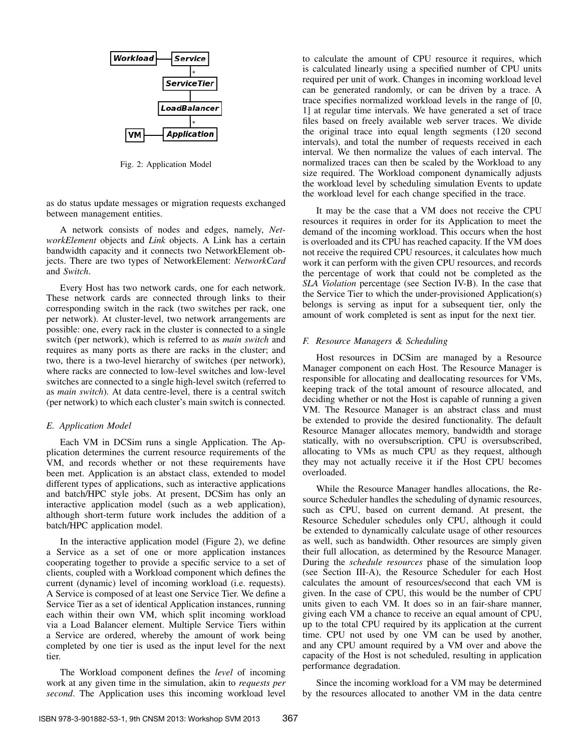

Fig. 2: Application Model

as do status update messages or migration requests exchanged between management entities.

A network consists of nodes and edges, namely, *NetworkElement* objects and *Link* objects. A Link has a certain bandwidth capacity and it connects two NetworkElement objects. There are two types of NetworkElement: *NetworkCard* and *Switch*.

Every Host has two network cards, one for each network. These network cards are connected through links to their corresponding switch in the rack (two switches per rack, one per network). At cluster-level, two network arrangements are possible: one, every rack in the cluster is connected to a single switch (per network), which is referred to as *main switch* and requires as many ports as there are racks in the cluster; and two, there is a two-level hierarchy of switches (per network), where racks are connected to low-level switches and low-level switches are connected to a single high-level switch (referred to as *main switch*). At data centre-level, there is a central switch (per network) to which each cluster's main switch is connected.

#### *E. Application Model*

Each VM in DCSim runs a single Application. The Application determines the current resource requirements of the VM, and records whether or not these requirements have been met. Application is an abstact class, extended to model different types of applications, such as interactive applications and batch/HPC style jobs. At present, DCSim has only an interactive application model (such as a web application), although short-term future work includes the addition of a batch/HPC application model.

In the interactive application model (Figure 2), we define a Service as a set of one or more application instances cooperating together to provide a specific service to a set of clients, coupled with a Workload component which defines the current (dynamic) level of incoming workload (i.e. requests). A Service is composed of at least one Service Tier. We define a Service Tier as a set of identical Application instances, running each within their own VM, which split incoming workload via a Load Balancer element. Multiple Service Tiers within a Service are ordered, whereby the amount of work being completed by one tier is used as the input level for the next tier.

The Workload component defines the *level* of incoming work at any given time in the simulation, akin to *requests per second*. The Application uses this incoming workload level to calculate the amount of CPU resource it requires, which is calculated linearly using a specified number of CPU units required per unit of work. Changes in incoming workload level can be generated randomly, or can be driven by a trace. A trace specifies normalized workload levels in the range of [0, 1] at regular time intervals. We have generated a set of trace files based on freely available web server traces. We divide the original trace into equal length segments (120 second intervals), and total the number of requests received in each interval. We then normalize the values of each interval. The normalized traces can then be scaled by the Workload to any size required. The Workload component dynamically adjusts the workload level by scheduling simulation Events to update the workload level for each change specified in the trace.

It may be the case that a VM does not receive the CPU resources it requires in order for its Application to meet the demand of the incoming workload. This occurs when the host is overloaded and its CPU has reached capacity. If the VM does not receive the required CPU resources, it calculates how much work it can perform with the given CPU resources, and records the percentage of work that could not be completed as the *SLA Violation* percentage (see Section IV-B). In the case that the Service Tier to which the under-provisioned Application(s) belongs is serving as input for a subsequent tier, only the amount of work completed is sent as input for the next tier.

#### *F. Resource Managers & Scheduling*

Host resources in DCSim are managed by a Resource Manager component on each Host. The Resource Manager is responsible for allocating and deallocating resources for VMs, keeping track of the total amount of resource allocated, and deciding whether or not the Host is capable of running a given VM. The Resource Manager is an abstract class and must be extended to provide the desired functionality. The default Resource Manager allocates memory, bandwidth and storage statically, with no oversubscription. CPU is oversubscribed, allocating to VMs as much CPU as they request, although they may not actually receive it if the Host CPU becomes overloaded.

While the Resource Manager handles allocations, the Resource Scheduler handles the scheduling of dynamic resources, such as CPU, based on current demand. At present, the Resource Scheduler schedules only CPU, although it could be extended to dynamically calculate usage of other resources as well, such as bandwidth. Other resources are simply given their full allocation, as determined by the Resource Manager. During the *schedule resources* phase of the simulation loop (see Section III-A), the Resource Scheduler for each Host calculates the amount of resources/second that each VM is given. In the case of CPU, this would be the number of CPU units given to each VM. It does so in an fair-share manner, giving each VM a chance to receive an equal amount of CPU, up to the total CPU required by its application at the current time. CPU not used by one VM can be used by another, and any CPU amount required by a VM over and above the capacity of the Host is not scheduled, resulting in application performance degradation.

Since the incoming workload for a VM may be determined by the resources allocated to another VM in the data centre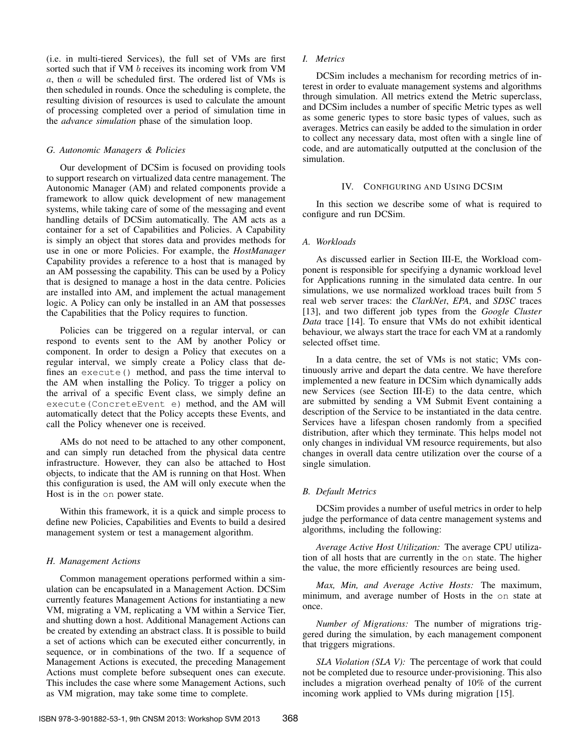(i.e. in multi-tiered Services), the full set of VMs are first sorted such that if VM *b* receives its incoming work from VM *a*, then *a* will be scheduled first. The ordered list of VMs is then scheduled in rounds. Once the scheduling is complete, the resulting division of resources is used to calculate the amount of processing completed over a period of simulation time in the *advance simulation* phase of the simulation loop.

#### *G. Autonomic Managers & Policies*

Our development of DCSim is focused on providing tools to support research on virtualized data centre management. The Autonomic Manager (AM) and related components provide a framework to allow quick development of new management systems, while taking care of some of the messaging and event handling details of DCSim automatically. The AM acts as a container for a set of Capabilities and Policies. A Capability is simply an object that stores data and provides methods for use in one or more Policies. For example, the *HostManager* Capability provides a reference to a host that is managed by an AM possessing the capability. This can be used by a Policy that is designed to manage a host in the data centre. Policies are installed into AM, and implement the actual management logic. A Policy can only be installed in an AM that possesses the Capabilities that the Policy requires to function.

Policies can be triggered on a regular interval, or can respond to events sent to the AM by another Policy or component. In order to design a Policy that executes on a regular interval, we simply create a Policy class that defines an execute() method, and pass the time interval to the AM when installing the Policy. To trigger a policy on the arrival of a specific Event class, we simply define an execute(ConcreteEvent e) method, and the AM will automatically detect that the Policy accepts these Events, and call the Policy whenever one is received.

AMs do not need to be attached to any other component, and can simply run detached from the physical data centre infrastructure. However, they can also be attached to Host objects, to indicate that the AM is running on that Host. When this configuration is used, the AM will only execute when the Host is in the on power state.

Within this framework, it is a quick and simple process to define new Policies, Capabilities and Events to build a desired management system or test a management algorithm.

# *H. Management Actions*

Common management operations performed within a simulation can be encapsulated in a Management Action. DCSim currently features Management Actions for instantiating a new VM, migrating a VM, replicating a VM within a Service Tier, and shutting down a host. Additional Management Actions can be created by extending an abstract class. It is possible to build a set of actions which can be executed either concurrently, in sequence, or in combinations of the two. If a sequence of Management Actions is executed, the preceding Management Actions must complete before subsequent ones can execute. This includes the case where some Management Actions, such as VM migration, may take some time to complete.

#### *I. Metrics*

DCSim includes a mechanism for recording metrics of interest in order to evaluate management systems and algorithms through simulation. All metrics extend the Metric superclass, and DCSim includes a number of specific Metric types as well as some generic types to store basic types of values, such as averages. Metrics can easily be added to the simulation in order to collect any necessary data, most often with a single line of code, and are automatically outputted at the conclusion of the simulation.

#### IV. CONFIGURING AND USING DCSIM

In this section we describe some of what is required to configure and run DCSim.

## *A. Workloads*

As discussed earlier in Section III-E, the Workload component is responsible for specifying a dynamic workload level for Applications running in the simulated data centre. In our simulations, we use normalized workload traces built from 5 real web server traces: the *ClarkNet*, *EPA*, and *SDSC* traces [13], and two different job types from the *Google Cluster Data* trace [14]. To ensure that VMs do not exhibit identical behaviour, we always start the trace for each VM at a randomly selected offset time.

In a data centre, the set of VMs is not static; VMs continuously arrive and depart the data centre. We have therefore implemented a new feature in DCSim which dynamically adds new Services (see Section III-E) to the data centre, which are submitted by sending a VM Submit Event containing a description of the Service to be instantiated in the data centre. Services have a lifespan chosen randomly from a specified distribution, after which they terminate. This helps model not only changes in individual VM resource requirements, but also changes in overall data centre utilization over the course of a single simulation.

# *B. Default Metrics*

DCSim provides a number of useful metrics in order to help judge the performance of data centre management systems and algorithms, including the following:

*Average Active Host Utilization:* The average CPU utilization of all hosts that are currently in the on state. The higher the value, the more efficiently resources are being used.

*Max, Min, and Average Active Hosts:* The maximum, minimum, and average number of Hosts in the on state at once.

*Number of Migrations:* The number of migrations triggered during the simulation, by each management component that triggers migrations.

*SLA Violation (SLA V):* The percentage of work that could not be completed due to resource under-provisioning. This also includes a migration overhead penalty of 10% of the current incoming work applied to VMs during migration [15].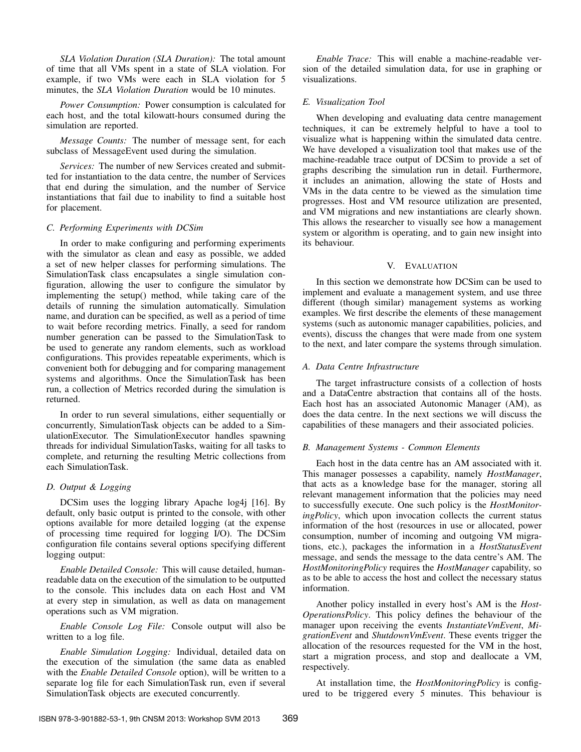*SLA Violation Duration (SLA Duration):* The total amount of time that all VMs spent in a state of SLA violation. For example, if two VMs were each in SLA violation for 5 minutes, the *SLA Violation Duration* would be 10 minutes.

*Power Consumption:* Power consumption is calculated for each host, and the total kilowatt-hours consumed during the simulation are reported.

*Message Counts:* The number of message sent, for each subclass of MessageEvent used during the simulation.

*Services:* The number of new Services created and submitted for instantiation to the data centre, the number of Services that end during the simulation, and the number of Service instantiations that fail due to inability to find a suitable host for placement.

# *C. Performing Experiments with DCSim*

In order to make configuring and performing experiments with the simulator as clean and easy as possible, we added a set of new helper classes for performing simulations. The SimulationTask class encapsulates a single simulation configuration, allowing the user to configure the simulator by implementing the setup() method, while taking care of the details of running the simulation automatically. Simulation name, and duration can be specified, as well as a period of time to wait before recording metrics. Finally, a seed for random number generation can be passed to the SimulationTask to be used to generate any random elements, such as workload configurations. This provides repeatable experiments, which is convenient both for debugging and for comparing management systems and algorithms. Once the SimulationTask has been run, a collection of Metrics recorded during the simulation is returned.

In order to run several simulations, either sequentially or concurrently, SimulationTask objects can be added to a SimulationExecutor. The SimulationExecutor handles spawning threads for individual SimulationTasks, waiting for all tasks to complete, and returning the resulting Metric collections from each SimulationTask.

# *D. Output & Logging*

DCSim uses the logging library Apache log4j [16]. By default, only basic output is printed to the console, with other options available for more detailed logging (at the expense of processing time required for logging I/O). The DCSim configuration file contains several options specifying different logging output:

*Enable Detailed Console:* This will cause detailed, humanreadable data on the execution of the simulation to be outputted to the console. This includes data on each Host and VM at every step in simulation, as well as data on management operations such as VM migration.

*Enable Console Log File:* Console output will also be written to a log file.

*Enable Simulation Logging:* Individual, detailed data on the execution of the simulation (the same data as enabled with the *Enable Detailed Console* option), will be written to a separate log file for each SimulationTask run, even if several SimulationTask objects are executed concurrently.

*Enable Trace:* This will enable a machine-readable version of the detailed simulation data, for use in graphing or visualizations.

## *E. Visualization Tool*

When developing and evaluating data centre management techniques, it can be extremely helpful to have a tool to visualize what is happening within the simulated data centre. We have developed a visualization tool that makes use of the machine-readable trace output of DCSim to provide a set of graphs describing the simulation run in detail. Furthermore, it includes an animation, allowing the state of Hosts and VMs in the data centre to be viewed as the simulation time progresses. Host and VM resource utilization are presented, and VM migrations and new instantiations are clearly shown. This allows the researcher to visually see how a management system or algorithm is operating, and to gain new insight into its behaviour.

# V. EVALUATION

In this section we demonstrate how DCSim can be used to implement and evaluate a management system, and use three different (though similar) management systems as working examples. We first describe the elements of these management systems (such as autonomic manager capabilities, policies, and events), discuss the changes that were made from one system to the next, and later compare the systems through simulation.

## *A. Data Centre Infrastructure*

The target infrastructure consists of a collection of hosts and a DataCentre abstraction that contains all of the hosts. Each host has an associated Autonomic Manager (AM), as does the data centre. In the next sections we will discuss the capabilities of these managers and their associated policies.

# *B. Management Systems - Common Elements*

Each host in the data centre has an AM associated with it. This manager possesses a capability, namely *HostManager*, that acts as a knowledge base for the manager, storing all relevant management information that the policies may need to successfully execute. One such policy is the *HostMonitoringPolicy*, which upon invocation collects the current status information of the host (resources in use or allocated, power consumption, number of incoming and outgoing VM migrations, etc.), packages the information in a *HostStatusEvent* message, and sends the message to the data centre's AM. The *HostMonitoringPolicy* requires the *HostManager* capability, so as to be able to access the host and collect the necessary status information.

Another policy installed in every host's AM is the *Host-OperationsPolicy*. This policy defines the behaviour of the manager upon receiving the events *InstantiateVmEvent*, *MigrationEvent* and *ShutdownVmEvent*. These events trigger the allocation of the resources requested for the VM in the host, start a migration process, and stop and deallocate a VM, respectively.

At installation time, the *HostMonitoringPolicy* is configured to be triggered every 5 minutes. This behaviour is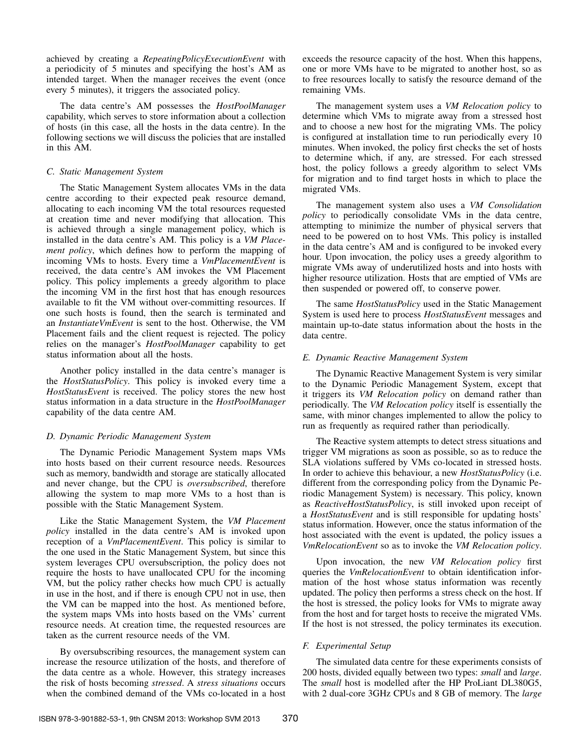achieved by creating a *RepeatingPolicyExecutionEvent* with a periodicity of 5 minutes and specifying the host's AM as intended target. When the manager receives the event (once every 5 minutes), it triggers the associated policy.

The data centre's AM possesses the *HostPoolManager* capability, which serves to store information about a collection of hosts (in this case, all the hosts in the data centre). In the following sections we will discuss the policies that are installed in this AM.

## *C. Static Management System*

The Static Management System allocates VMs in the data centre according to their expected peak resource demand, allocating to each incoming VM the total resources requested at creation time and never modifying that allocation. This is achieved through a single management policy, which is installed in the data centre's AM. This policy is a *VM Placement policy*, which defines how to perform the mapping of incoming VMs to hosts. Every time a *VmPlacementEvent* is received, the data centre's AM invokes the VM Placement policy. This policy implements a greedy algorithm to place the incoming VM in the first host that has enough resources available to fit the VM without over-committing resources. If one such hosts is found, then the search is terminated and an *InstantiateVmEvent* is sent to the host. Otherwise, the VM Placement fails and the client request is rejected. The policy relies on the manager's *HostPoolManager* capability to get status information about all the hosts.

Another policy installed in the data centre's manager is the *HostStatusPolicy*. This policy is invoked every time a *HostStatusEvent* is received. The policy stores the new host status information in a data structure in the *HostPoolManager* capability of the data centre AM.

# *D. Dynamic Periodic Management System*

The Dynamic Periodic Management System maps VMs into hosts based on their current resource needs. Resources such as memory, bandwidth and storage are statically allocated and never change, but the CPU is *oversubscribed*, therefore allowing the system to map more VMs to a host than is possible with the Static Management System.

Like the Static Management System, the *VM Placement policy* installed in the data centre's AM is invoked upon reception of a *VmPlacementEvent*. This policy is similar to the one used in the Static Management System, but since this system leverages CPU oversubscription, the policy does not require the hosts to have unallocated CPU for the incoming VM, but the policy rather checks how much CPU is actually in use in the host, and if there is enough CPU not in use, then the VM can be mapped into the host. As mentioned before, the system maps VMs into hosts based on the VMs' current resource needs. At creation time, the requested resources are taken as the current resource needs of the VM.

By oversubscribing resources, the management system can increase the resource utilization of the hosts, and therefore of the data centre as a whole. However, this strategy increases the risk of hosts becoming *stressed*. A *stress situations* occurs when the combined demand of the VMs co-located in a host exceeds the resource capacity of the host. When this happens, one or more VMs have to be migrated to another host, so as to free resources locally to satisfy the resource demand of the remaining VMs.

The management system uses a *VM Relocation policy* to determine which VMs to migrate away from a stressed host and to choose a new host for the migrating VMs. The policy is configured at installation time to run periodically every 10 minutes. When invoked, the policy first checks the set of hosts to determine which, if any, are stressed. For each stressed host, the policy follows a greedy algorithm to select VMs for migration and to find target hosts in which to place the migrated VMs.

The management system also uses a *VM Consolidation policy* to periodically consolidate VMs in the data centre, attempting to minimize the number of physical servers that need to be powered on to host VMs. This policy is installed in the data centre's AM and is configured to be invoked every hour. Upon invocation, the policy uses a greedy algorithm to migrate VMs away of underutilized hosts and into hosts with higher resource utilization. Hosts that are emptied of VMs are then suspended or powered off, to conserve power.

The same *HostStatusPolicy* used in the Static Management System is used here to process *HostStatusEvent* messages and maintain up-to-date status information about the hosts in the data centre.

# *E. Dynamic Reactive Management System*

The Dynamic Reactive Management System is very similar to the Dynamic Periodic Management System, except that it triggers its *VM Relocation policy* on demand rather than periodically. The *VM Relocation policy* itself is essentially the same, with minor changes implemented to allow the policy to run as frequently as required rather than periodically.

The Reactive system attempts to detect stress situations and trigger VM migrations as soon as possible, so as to reduce the SLA violations suffered by VMs co-located in stressed hosts. In order to achieve this behaviour, a new *HostStatusPolicy* (i.e. different from the corresponding policy from the Dynamic Periodic Management System) is necessary. This policy, known as *ReactiveHostStatusPolicy*, is still invoked upon receipt of a *HostStatusEvent* and is still responsible for updating hosts' status information. However, once the status information of the host associated with the event is updated, the policy issues a *VmRelocationEvent* so as to invoke the *VM Relocation policy*.

Upon invocation, the new *VM Relocation policy* first queries the *VmRelocationEvent* to obtain identification information of the host whose status information was recently updated. The policy then performs a stress check on the host. If the host is stressed, the policy looks for VMs to migrate away from the host and for target hosts to receive the migrated VMs. If the host is not stressed, the policy terminates its execution.

# *F. Experimental Setup*

The simulated data centre for these experiments consists of 200 hosts, divided equally between two types: *small* and *large*. The *small* host is modelled after the HP ProLiant DL380G5, with 2 dual-core 3GHz CPUs and 8 GB of memory. The *large*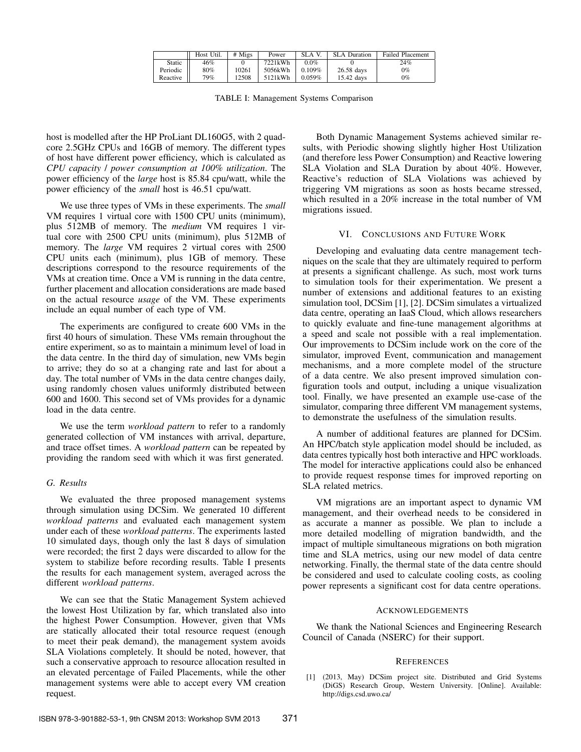|          | Host Util. | # Migs | Power   | SLA V.    | <b>SLA</b> Duration | <b>Failed Placement</b> |
|----------|------------|--------|---------|-----------|---------------------|-------------------------|
| Static   | 46%        |        | 7221kWh | 0.0%      |                     | 24%                     |
| Periodic | $80\%$     | 10261  | 5056kWh | $0.109\%$ | 26.58 days          | $0\%$                   |
| Reactive | 79%        | 12508  | 5121kWh | $0.059\%$ | $15.42$ days        | $0\%$                   |

TABLE I: Management Systems Comparison

host is modelled after the HP ProLiant DL160G5, with 2 quadcore 2.5GHz CPUs and 16GB of memory. The different types of host have different power efficiency, which is calculated as *CPU capacity* / *power consumption at 100% utilization*. The power efficiency of the *large* host is 85.84 cpu/watt, while the power efficiency of the *small* host is 46.51 cpu/watt.

We use three types of VMs in these experiments. The *small* VM requires 1 virtual core with 1500 CPU units (minimum), plus 512MB of memory. The *medium* VM requires 1 virtual core with 2500 CPU units (minimum), plus 512MB of memory. The *large* VM requires 2 virtual cores with 2500 CPU units each (minimum), plus 1GB of memory. These descriptions correspond to the resource requirements of the VMs at creation time. Once a VM is running in the data centre, further placement and allocation considerations are made based on the actual resource *usage* of the VM. These experiments include an equal number of each type of VM.

The experiments are configured to create 600 VMs in the first 40 hours of simulation. These VMs remain throughout the entire experiment, so as to maintain a minimum level of load in the data centre. In the third day of simulation, new VMs begin to arrive; they do so at a changing rate and last for about a day. The total number of VMs in the data centre changes daily, using randomly chosen values uniformly distributed between 600 and 1600. This second set of VMs provides for a dynamic load in the data centre.

We use the term *workload pattern* to refer to a randomly generated collection of VM instances with arrival, departure, and trace offset times. A *workload pattern* can be repeated by providing the random seed with which it was first generated.

#### *G. Results*

We evaluated the three proposed management systems through simulation using DCSim. We generated 10 different *workload patterns* and evaluated each management system under each of these *workload patterns*. The experiments lasted 10 simulated days, though only the last 8 days of simulation were recorded; the first 2 days were discarded to allow for the system to stabilize before recording results. Table I presents the results for each management system, averaged across the different *workload patterns*.

We can see that the Static Management System achieved the lowest Host Utilization by far, which translated also into the highest Power Consumption. However, given that VMs are statically allocated their total resource request (enough to meet their peak demand), the management system avoids SLA Violations completely. It should be noted, however, that such a conservative approach to resource allocation resulted in an elevated percentage of Failed Placements, while the other management systems were able to accept every VM creation request.

Both Dynamic Management Systems achieved similar results, with Periodic showing slightly higher Host Utilization (and therefore less Power Consumption) and Reactive lowering SLA Violation and SLA Duration by about 40%. However, Reactive's reduction of SLA Violations was achieved by triggering VM migrations as soon as hosts became stressed, which resulted in a 20% increase in the total number of VM migrations issued.

#### VI. CONCLUSIONS AND FUTURE WORK

Developing and evaluating data centre management techniques on the scale that they are ultimately required to perform at presents a significant challenge. As such, most work turns to simulation tools for their experimentation. We present a number of extensions and additional features to an existing simulation tool, DCSim [1], [2]. DCSim simulates a virtualized data centre, operating an IaaS Cloud, which allows researchers to quickly evaluate and fine-tune management algorithms at a speed and scale not possible with a real implementation. Our improvements to DCSim include work on the core of the simulator, improved Event, communication and management mechanisms, and a more complete model of the structure of a data centre. We also present improved simulation configuration tools and output, including a unique visualization tool. Finally, we have presented an example use-case of the simulator, comparing three different VM management systems, to demonstrate the usefulness of the simulation results.

A number of additional features are planned for DCSim. An HPC/batch style application model should be included, as data centres typically host both interactive and HPC workloads. The model for interactive applications could also be enhanced to provide request response times for improved reporting on SLA related metrics.

VM migrations are an important aspect to dynamic VM management, and their overhead needs to be considered in as accurate a manner as possible. We plan to include a more detailed modelling of migration bandwidth, and the impact of multiple simultaneous migrations on both migration time and SLA metrics, using our new model of data centre networking. Finally, the thermal state of the data centre should be considered and used to calculate cooling costs, as cooling power represents a significant cost for data centre operations.

#### ACKNOWLEDGEMENTS

We thank the National Sciences and Engineering Research Council of Canada (NSERC) for their support.

#### **REFERENCES**

[1] (2013, May) DCSim project site. Distributed and Grid Systems (DiGS) Research Group, Western University. [Online]. Available: http://digs.csd.uwo.ca/